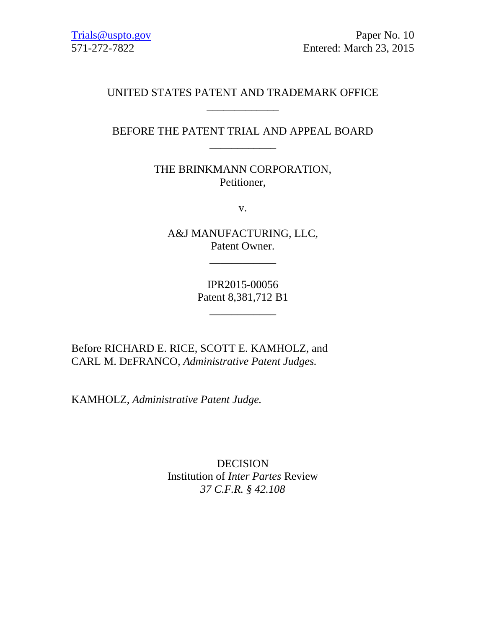[Trials@uspto.gov](mailto:Trials@uspto.gov) Paper No. 10 571-272-7822 Entered: March 23, 2015

## UNITED STATES PATENT AND TRADEMARK OFFICE \_\_\_\_\_\_\_\_\_\_\_\_\_

## BEFORE THE PATENT TRIAL AND APPEAL BOARD \_\_\_\_\_\_\_\_\_\_\_\_

THE BRINKMANN CORPORATION, Petitioner,

v.

A&J MANUFACTURING, LLC, Patent Owner.

\_\_\_\_\_\_\_\_\_\_\_\_

IPR2015-00056 Patent 8,381,712 B1

\_\_\_\_\_\_\_\_\_\_\_\_

Before RICHARD E. RICE, SCOTT E. KAMHOLZ, and CARL M. DEFRANCO, *Administrative Patent Judges.*

KAMHOLZ, *Administrative Patent Judge.*

DECISION Institution of *Inter Partes* Review *37 C.F.R. § 42.108*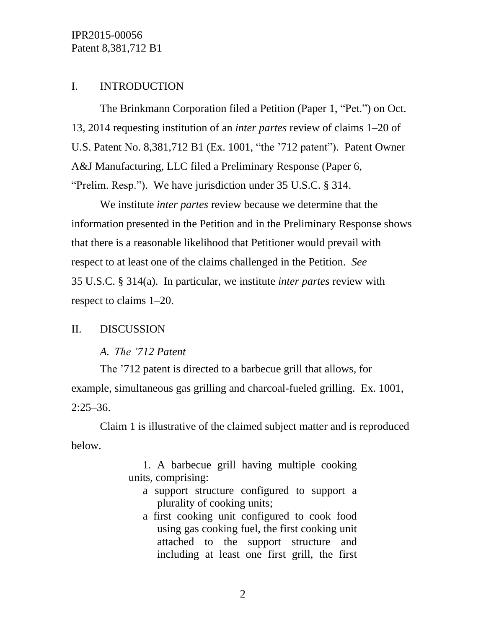## I. INTRODUCTION

The Brinkmann Corporation filed a Petition (Paper 1, "Pet.") on Oct. 13, 2014 requesting institution of an *inter partes* review of claims 1–20 of U.S. Patent No. 8,381,712 B1 (Ex. 1001, "the '712 patent"). Patent Owner A&J Manufacturing, LLC filed a Preliminary Response (Paper 6, "Prelim. Resp."). We have jurisdiction under 35 U.S.C. § 314.

We institute *inter partes* review because we determine that the information presented in the Petition and in the Preliminary Response shows that there is a reasonable likelihood that Petitioner would prevail with respect to at least one of the claims challenged in the Petition. *See* 35 U.S.C. § 314(a). In particular, we institute *inter partes* review with respect to claims 1–20.

## II. DISCUSSION

## *A. The '712 Patent*

The '712 patent is directed to a barbecue grill that allows, for example, simultaneous gas grilling and charcoal-fueled grilling. Ex. 1001,  $2:25-36.$ 

Claim 1 is illustrative of the claimed subject matter and is reproduced below.

> 1. A barbecue grill having multiple cooking units, comprising:

- a support structure configured to support a plurality of cooking units;
- a first cooking unit configured to cook food using gas cooking fuel, the first cooking unit attached to the support structure and including at least one first grill, the first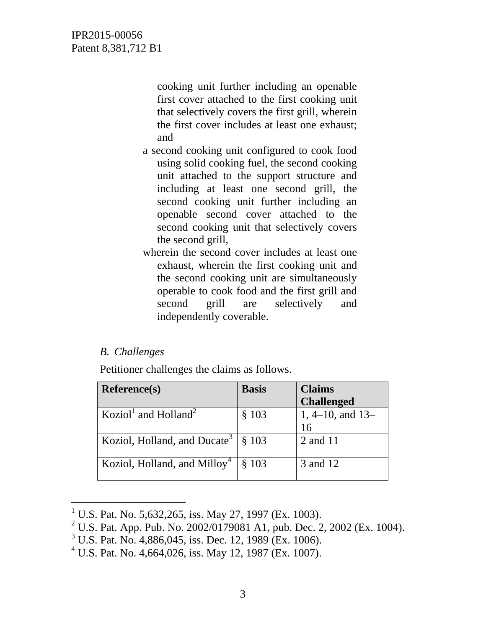cooking unit further including an openable first cover attached to the first cooking unit that selectively covers the first grill, wherein the first cover includes at least one exhaust; and

- a second cooking unit configured to cook food using solid cooking fuel, the second cooking unit attached to the support structure and including at least one second grill, the second cooking unit further including an openable second cover attached to the second cooking unit that selectively covers the second grill,
- wherein the second cover includes at least one exhaust, wherein the first cooking unit and the second cooking unit are simultaneously operable to cook food and the first grill and second grill are selectively and independently coverable.

## *B. Challenges*

l

Petitioner challenges the claims as follows.

| <b>Reference(s)</b>                          | <b>Basis</b> | <b>Claims</b>        |
|----------------------------------------------|--------------|----------------------|
|                                              |              | <b>Challenged</b>    |
| Koziol <sup>1</sup> and Holland <sup>2</sup> | \$103        | $1, 4-10,$ and $13-$ |
|                                              |              | 16                   |
| Koziol, Holland, and Ducate <sup>3</sup>     | \$103        | 2 and 11             |
| Koziol, Holland, and Milloy <sup>4</sup>     | \$103        | 3 and 12             |

<sup>&</sup>lt;sup>1</sup> U.S. Pat. No. 5,632,265, iss. May 27, 1997 (Ex. 1003).

<sup>&</sup>lt;sup>2</sup> U.S. Pat. App. Pub. No. 2002/0179081 A1, pub. Dec. 2, 2002 (Ex. 1004).

 $3 \text{ U.S.}$  Pat. No. 4,886,045, iss. Dec. 12, 1989 (Ex. 1006).

 $<sup>4</sup>$  U.S. Pat. No. 4,664,026, iss. May 12, 1987 (Ex. 1007).</sup>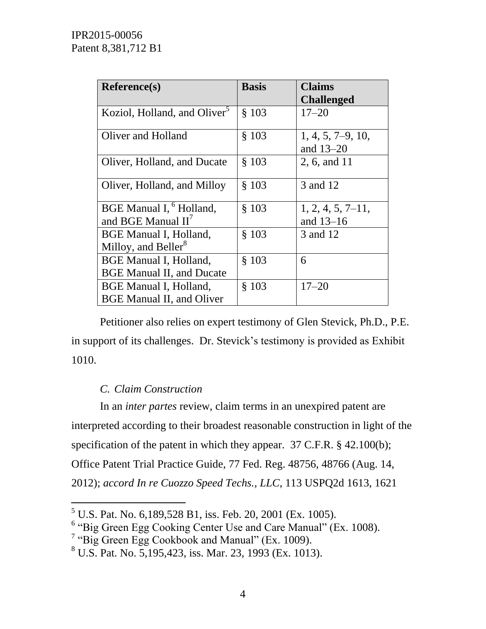| Reference(s)                                                      | <b>Basis</b> | <b>Claims</b>                      |
|-------------------------------------------------------------------|--------------|------------------------------------|
|                                                                   |              | <b>Challenged</b>                  |
| Koziol, Holland, and Oliver <sup>5</sup>                          | \$103        | $17 - 20$                          |
| Oliver and Holland                                                | \$103        | $1, 4, 5, 7-9, 10,$<br>and $13-20$ |
| Oliver, Holland, and Ducate                                       | \$103        | 2, 6, and 11                       |
| Oliver, Holland, and Milloy                                       | \$103        | 3 and 12                           |
| BGE Manual I, <sup>6</sup> Holland,<br>and BGE Manual $II^7$      | \$103        | $1, 2, 4, 5, 7-11,$<br>and $13-16$ |
| <b>BGE Manual I, Holland,</b><br>Milloy, and Beller <sup>8</sup>  | \$103        | 3 and 12                           |
| <b>BGE Manual I, Holland,</b><br><b>BGE Manual II, and Ducate</b> | \$103        | 6                                  |
| <b>BGE Manual I, Holland,</b><br><b>BGE Manual II, and Oliver</b> | \$103        | $17 - 20$                          |

Petitioner also relies on expert testimony of Glen Stevick, Ph.D., P.E. in support of its challenges. Dr. Stevick's testimony is provided as Exhibit 1010.

## *C. Claim Construction*

l

In an *inter partes* review, claim terms in an unexpired patent are interpreted according to their broadest reasonable construction in light of the specification of the patent in which they appear. 37 C.F.R. § 42.100(b); Office Patent Trial Practice Guide, 77 Fed. Reg. 48756, 48766 (Aug. 14, 2012); *accord In re Cuozzo Speed Techs., LLC*, 113 USPQ2d 1613, 1621

<sup>5</sup> U.S. Pat. No. 6,189,528 B1, iss. Feb. 20, 2001 (Ex. 1005).

<sup>&</sup>lt;sup>6</sup> "Big Green Egg Cooking Center Use and Care Manual" (Ex. 1008).

<sup>&</sup>lt;sup>7</sup> "Big Green Egg Cookbook and Manual" (Ex. 1009).

 $8 \text{ U.S.}$  Pat. No. 5,195,423, iss. Mar. 23, 1993 (Ex. 1013).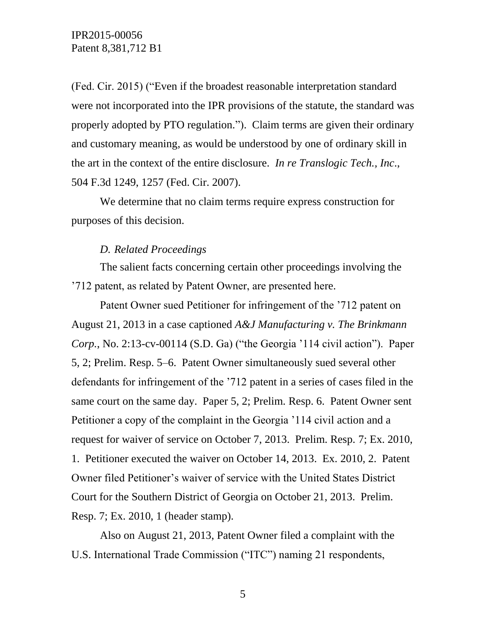(Fed. Cir. 2015) ("Even if the broadest reasonable interpretation standard were not incorporated into the IPR provisions of the statute, the standard was properly adopted by PTO regulation."). Claim terms are given their ordinary and customary meaning, as would be understood by one of ordinary skill in the art in the context of the entire disclosure. *In re Translogic Tech., Inc*., 504 F.3d 1249, 1257 (Fed. Cir. 2007).

We determine that no claim terms require express construction for purposes of this decision.

#### *D. Related Proceedings*

The salient facts concerning certain other proceedings involving the '712 patent, as related by Patent Owner, are presented here.

Patent Owner sued Petitioner for infringement of the '712 patent on August 21, 2013 in a case captioned *A&J Manufacturing v. The Brinkmann Corp.*, No. 2:13-cv-00114 (S.D. Ga) ("the Georgia '114 civil action"). Paper 5, 2; Prelim. Resp. 5–6. Patent Owner simultaneously sued several other defendants for infringement of the '712 patent in a series of cases filed in the same court on the same day. Paper 5, 2; Prelim. Resp. 6. Patent Owner sent Petitioner a copy of the complaint in the Georgia '114 civil action and a request for waiver of service on October 7, 2013. Prelim. Resp. 7; Ex. 2010, 1. Petitioner executed the waiver on October 14, 2013. Ex. 2010, 2. Patent Owner filed Petitioner's waiver of service with the United States District Court for the Southern District of Georgia on October 21, 2013. Prelim. Resp. 7; Ex. 2010, 1 (header stamp).

Also on August 21, 2013, Patent Owner filed a complaint with the U.S. International Trade Commission ("ITC") naming 21 respondents,

5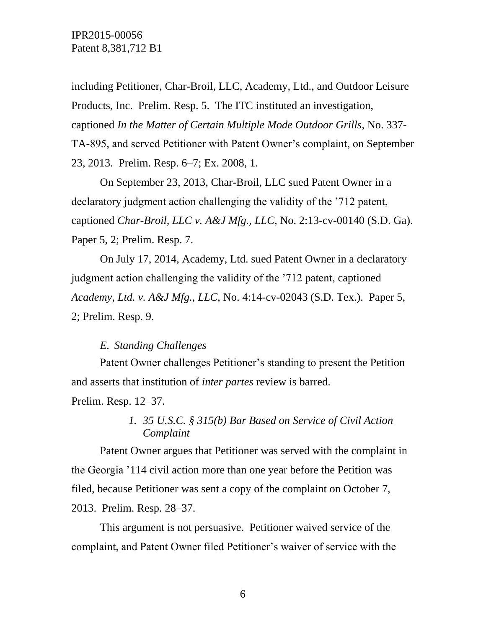including Petitioner, Char-Broil, LLC, Academy, Ltd., and Outdoor Leisure Products, Inc. Prelim. Resp. 5. The ITC instituted an investigation, captioned *In the Matter of Certain Multiple Mode Outdoor Grills*, No. 337- TA-895, and served Petitioner with Patent Owner's complaint, on September 23, 2013. Prelim. Resp. 6–7; Ex. 2008, 1.

On September 23, 2013, Char-Broil, LLC sued Patent Owner in a declaratory judgment action challenging the validity of the '712 patent, captioned *Char-Broil, LLC v. A&J Mfg., LLC*, No. 2:13-cv-00140 (S.D. Ga). Paper 5, 2; Prelim. Resp. 7.

On July 17, 2014, Academy, Ltd. sued Patent Owner in a declaratory judgment action challenging the validity of the '712 patent, captioned *Academy, Ltd. v. A&J Mfg., LLC*, No. 4:14-cv-02043 (S.D. Tex.). Paper 5, 2; Prelim. Resp. 9.

### *E. Standing Challenges*

Patent Owner challenges Petitioner's standing to present the Petition and asserts that institution of *inter partes* review is barred.

Prelim. Resp. 12–37.

## *1. 35 U.S.C. § 315(b) Bar Based on Service of Civil Action Complaint*

Patent Owner argues that Petitioner was served with the complaint in the Georgia '114 civil action more than one year before the Petition was filed, because Petitioner was sent a copy of the complaint on October 7, 2013. Prelim. Resp. 28–37.

This argument is not persuasive. Petitioner waived service of the complaint, and Patent Owner filed Petitioner's waiver of service with the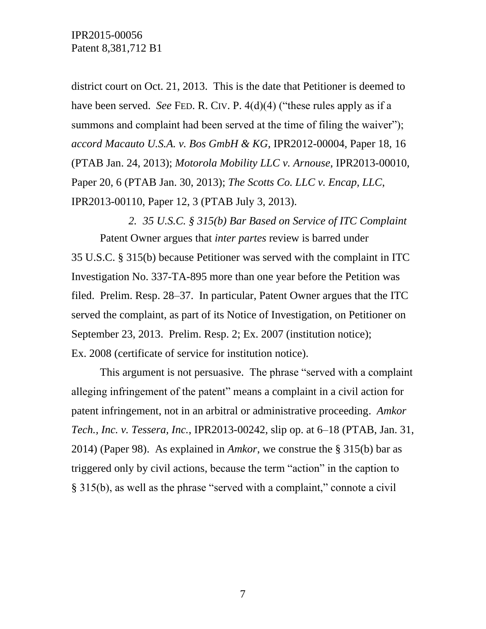district court on Oct. 21, 2013. This is the date that Petitioner is deemed to have been served. *See* FED. R. CIV. P. 4(d)(4) ("these rules apply as if a summons and complaint had been served at the time of filing the waiver"); *accord Macauto U.S.A. v. Bos GmbH & KG*, IPR2012-00004, Paper 18, 16 (PTAB Jan. 24, 2013); *Motorola Mobility LLC v. Arnouse*, IPR2013-00010, Paper 20, 6 (PTAB Jan. 30, 2013); *The Scotts Co. LLC v. Encap, LLC*, IPR2013-00110, Paper 12, 3 (PTAB July 3, 2013).

*2. 35 U.S.C. § 315(b) Bar Based on Service of ITC Complaint* Patent Owner argues that *inter partes* review is barred under 35 U.S.C. § 315(b) because Petitioner was served with the complaint in ITC Investigation No. 337-TA-895 more than one year before the Petition was filed. Prelim. Resp. 28–37. In particular, Patent Owner argues that the ITC served the complaint, as part of its Notice of Investigation, on Petitioner on September 23, 2013. Prelim. Resp. 2; Ex. 2007 (institution notice); Ex. 2008 (certificate of service for institution notice).

This argument is not persuasive. The phrase "served with a complaint alleging infringement of the patent" means a complaint in a civil action for patent infringement, not in an arbitral or administrative proceeding. *Amkor Tech., Inc. v. Tessera, Inc.*, IPR2013-00242, slip op. at 6–18 (PTAB, Jan. 31, 2014) (Paper 98). As explained in *Amkor*, we construe the § 315(b) bar as triggered only by civil actions, because the term "action" in the caption to § 315(b), as well as the phrase "served with a complaint," connote a civil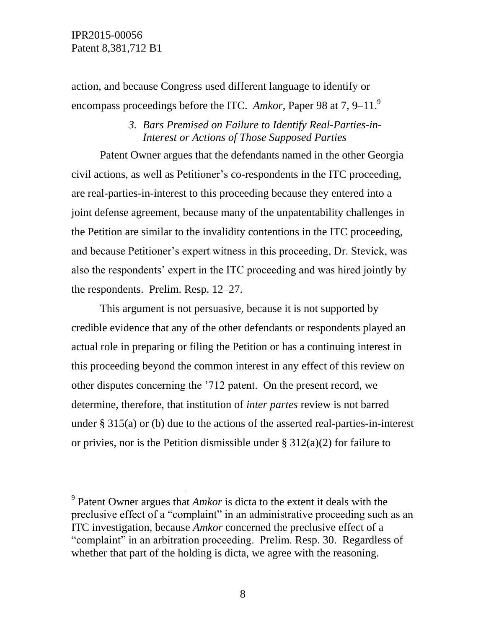IPR2015-00056 Patent 8,381,712 B1

 $\overline{a}$ 

action, and because Congress used different language to identify or encompass proceedings before the ITC. *Amkor*, Paper 98 at 7, 9–11.<sup>9</sup>

### *3. Bars Premised on Failure to Identify Real-Parties-in-Interest or Actions of Those Supposed Parties*

Patent Owner argues that the defendants named in the other Georgia civil actions, as well as Petitioner's co-respondents in the ITC proceeding, are real-parties-in-interest to this proceeding because they entered into a joint defense agreement, because many of the unpatentability challenges in the Petition are similar to the invalidity contentions in the ITC proceeding, and because Petitioner's expert witness in this proceeding, Dr. Stevick, was also the respondents' expert in the ITC proceeding and was hired jointly by the respondents. Prelim. Resp. 12–27.

This argument is not persuasive, because it is not supported by credible evidence that any of the other defendants or respondents played an actual role in preparing or filing the Petition or has a continuing interest in this proceeding beyond the common interest in any effect of this review on other disputes concerning the '712 patent. On the present record, we determine, therefore, that institution of *inter partes* review is not barred under § 315(a) or (b) due to the actions of the asserted real-parties-in-interest or privies, nor is the Petition dismissible under  $\S 312(a)(2)$  for failure to

<sup>9</sup> Patent Owner argues that *Amkor* is dicta to the extent it deals with the preclusive effect of a "complaint" in an administrative proceeding such as an ITC investigation, because *Amkor* concerned the preclusive effect of a "complaint" in an arbitration proceeding. Prelim. Resp. 30. Regardless of whether that part of the holding is dicta, we agree with the reasoning.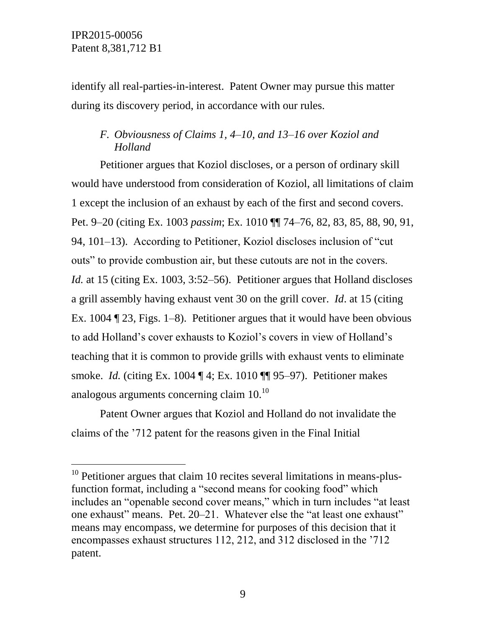$\overline{a}$ 

identify all real-parties-in-interest. Patent Owner may pursue this matter during its discovery period, in accordance with our rules.

## <span id="page-8-0"></span>*F. Obviousness of Claims 1, 4–10, and 13–16 over Koziol and Holland*

Petitioner argues that Koziol discloses, or a person of ordinary skill would have understood from consideration of Koziol, all limitations of claim 1 except the inclusion of an exhaust by each of the first and second covers. Pet. 9–20 (citing Ex. 1003 *passim*; Ex. 1010 ¶¶ 74–76, 82, 83, 85, 88, 90, 91, 94, 101–13). According to Petitioner, Koziol discloses inclusion of "cut outs" to provide combustion air, but these cutouts are not in the covers. *Id.* at 15 (citing Ex. 1003, 3:52–56). Petitioner argues that Holland discloses a grill assembly having exhaust vent 30 on the grill cover. *Id*. at 15 (citing Ex. 1004 ¶ 23, Figs. 1–8). Petitioner argues that it would have been obvious to add Holland's cover exhausts to Koziol's covers in view of Holland's teaching that it is common to provide grills with exhaust vents to eliminate smoke. *Id.* (citing Ex. 1004 ¶ 4; Ex. 1010 ¶¶ 95–97). Petitioner makes analogous arguments concerning claim  $10^{10}$ 

Patent Owner argues that Koziol and Holland do not invalidate the claims of the '712 patent for the reasons given in the Final Initial

 $10$  Petitioner argues that claim 10 recites several limitations in means-plusfunction format, including a "second means for cooking food" which includes an "openable second cover means," which in turn includes "at least one exhaust" means. Pet. 20–21. Whatever else the "at least one exhaust" means may encompass, we determine for purposes of this decision that it encompasses exhaust structures 112, 212, and 312 disclosed in the '712 patent.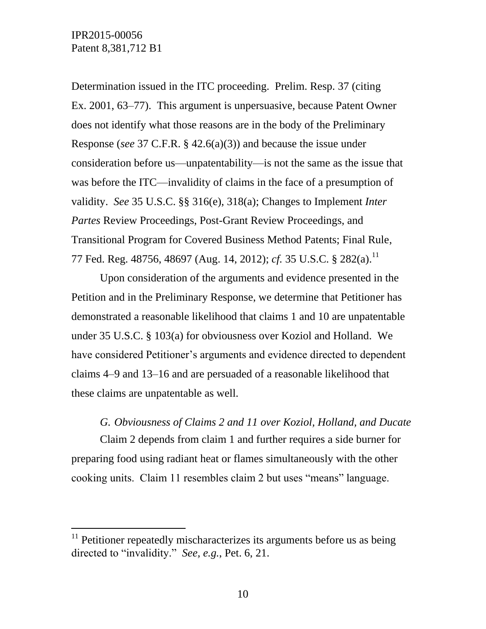l

Determination issued in the ITC proceeding. Prelim. Resp. 37 (citing Ex. 2001, 63–77). This argument is unpersuasive, because Patent Owner does not identify what those reasons are in the body of the Preliminary Response (*see* 37 C.F.R. § 42.6(a)(3)) and because the issue under consideration before us—unpatentability—is not the same as the issue that was before the ITC—invalidity of claims in the face of a presumption of validity. *See* 35 U.S.C. §§ 316(e), 318(a); Changes to Implement *Inter Partes* Review Proceedings, Post-Grant Review Proceedings, and Transitional Program for Covered Business Method Patents; Final Rule, 77 Fed. Reg. 48756, 48697 (Aug. 14, 2012); *cf.* 35 U.S.C. § 282(a). 11

Upon consideration of the arguments and evidence presented in the Petition and in the Preliminary Response, we determine that Petitioner has demonstrated a reasonable likelihood that claims 1 and 10 are unpatentable under 35 U.S.C. § 103(a) for obviousness over Koziol and Holland. We have considered Petitioner's arguments and evidence directed to dependent claims 4–9 and 13–16 and are persuaded of a reasonable likelihood that these claims are unpatentable as well.

<span id="page-9-0"></span>*G. Obviousness of Claims 2 and 11 over Koziol, Holland, and Ducate*  Claim 2 depends from claim 1 and further requires a side burner for preparing food using radiant heat or flames simultaneously with the other cooking units. Claim 11 resembles claim 2 but uses "means" language.

 $11$  Petitioner repeatedly mischaracterizes its arguments before us as being directed to "invalidity." *See, e.g.*, Pet. 6, 21.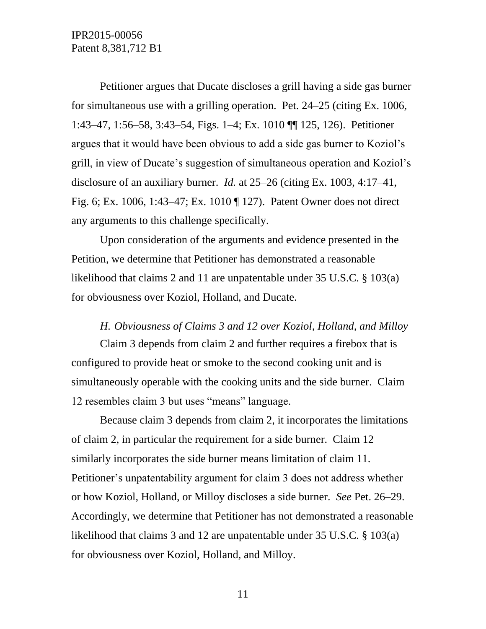Petitioner argues that Ducate discloses a grill having a side gas burner for simultaneous use with a grilling operation. Pet. 24–25 (citing Ex. 1006, 1:43–47, 1:56–58, 3:43–54, Figs. 1–4; Ex. 1010 ¶¶ 125, 126). Petitioner argues that it would have been obvious to add a side gas burner to Koziol's grill, in view of Ducate's suggestion of simultaneous operation and Koziol's disclosure of an auxiliary burner. *Id.* at 25–26 (citing Ex. 1003, 4:17–41, Fig. 6; Ex. 1006, 1:43–47; Ex. 1010 ¶ 127). Patent Owner does not direct any arguments to this challenge specifically.

Upon consideration of the arguments and evidence presented in the Petition, we determine that Petitioner has demonstrated a reasonable likelihood that claims 2 and 11 are unpatentable under 35 U.S.C. § 103(a) for obviousness over Koziol, Holland, and Ducate.

#### *H. Obviousness of Claims 3 and 12 over Koziol, Holland, and Milloy*

Claim 3 depends from claim 2 and further requires a firebox that is configured to provide heat or smoke to the second cooking unit and is simultaneously operable with the cooking units and the side burner. Claim 12 resembles claim 3 but uses "means" language.

Because claim 3 depends from claim 2, it incorporates the limitations of claim 2, in particular the requirement for a side burner. Claim 12 similarly incorporates the side burner means limitation of claim 11. Petitioner's unpatentability argument for claim 3 does not address whether or how Koziol, Holland, or Milloy discloses a side burner. *See* Pet. 26–29. Accordingly, we determine that Petitioner has not demonstrated a reasonable likelihood that claims 3 and 12 are unpatentable under 35 U.S.C. § 103(a) for obviousness over Koziol, Holland, and Milloy.

11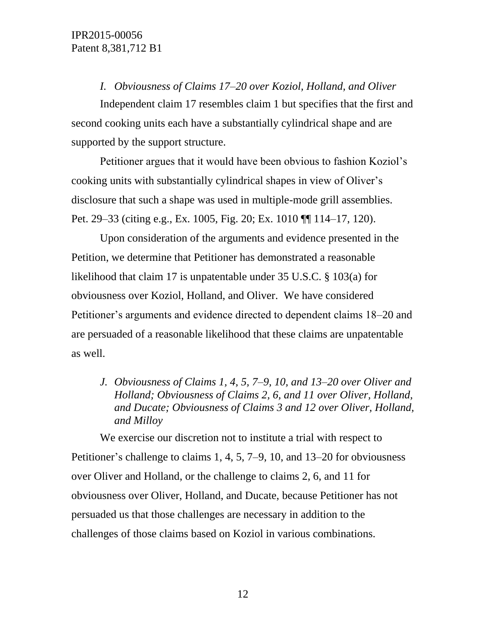*I. Obviousness of Claims 17–20 over Koziol, Holland, and Oliver*

<span id="page-11-0"></span>Independent claim 17 resembles claim 1 but specifies that the first and second cooking units each have a substantially cylindrical shape and are supported by the support structure.

Petitioner argues that it would have been obvious to fashion Koziol's cooking units with substantially cylindrical shapes in view of Oliver's disclosure that such a shape was used in multiple-mode grill assemblies. Pet. 29–33 (citing e.g., Ex. 1005, Fig. 20; Ex. 1010 ¶¶ 114–17, 120).

Upon consideration of the arguments and evidence presented in the Petition, we determine that Petitioner has demonstrated a reasonable likelihood that claim 17 is unpatentable under 35 U.S.C. § 103(a) for obviousness over Koziol, Holland, and Oliver. We have considered Petitioner's arguments and evidence directed to dependent claims 18–20 and are persuaded of a reasonable likelihood that these claims are unpatentable as well.

*J. Obviousness of Claims 1, 4, 5, 7–9, 10, and 13–20 over Oliver and Holland; Obviousness of Claims 2, 6, and 11 over Oliver, Holland, and Ducate; Obviousness of Claims 3 and 12 over Oliver, Holland, and Milloy*

We exercise our discretion not to institute a trial with respect to Petitioner's challenge to claims 1, 4, 5, 7–9, 10, and 13–20 for obviousness over Oliver and Holland, or the challenge to claims 2, 6, and 11 for obviousness over Oliver, Holland, and Ducate, because Petitioner has not persuaded us that those challenges are necessary in addition to the challenges of those claims based on Koziol in various combinations.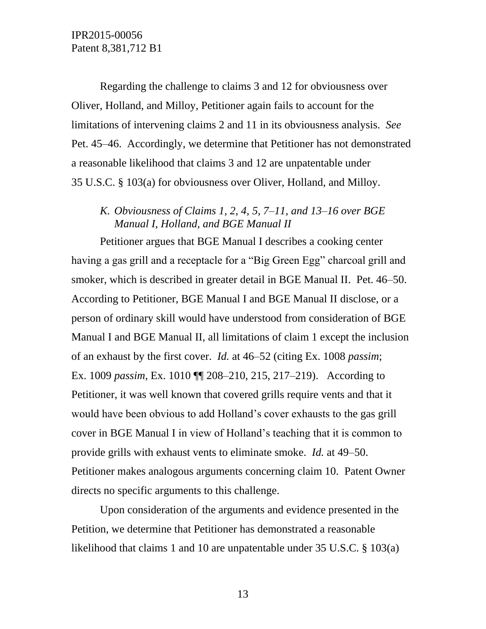Regarding the challenge to claims 3 and 12 for obviousness over Oliver, Holland, and Milloy, Petitioner again fails to account for the limitations of intervening claims 2 and 11 in its obviousness analysis. *See* Pet. 45–46. Accordingly, we determine that Petitioner has not demonstrated a reasonable likelihood that claims 3 and 12 are unpatentable under 35 U.S.C. § 103(a) for obviousness over Oliver, Holland, and Milloy.

## <span id="page-12-0"></span>*K. Obviousness of Claims 1, 2, 4, 5, 7–11, and 13–16 over BGE Manual I, Holland, and BGE Manual II*

Petitioner argues that BGE Manual I describes a cooking center having a gas grill and a receptacle for a "Big Green Egg" charcoal grill and smoker, which is described in greater detail in BGE Manual II. Pet. 46–50. According to Petitioner, BGE Manual I and BGE Manual II disclose, or a person of ordinary skill would have understood from consideration of BGE Manual I and BGE Manual II, all limitations of claim 1 except the inclusion of an exhaust by the first cover. *Id.* at 46–52 (citing Ex. 1008 *passim*; Ex. 1009 *passim*, Ex. 1010 ¶¶ 208–210, 215, 217–219). According to Petitioner, it was well known that covered grills require vents and that it would have been obvious to add Holland's cover exhausts to the gas grill cover in BGE Manual I in view of Holland's teaching that it is common to provide grills with exhaust vents to eliminate smoke. *Id.* at 49–50. Petitioner makes analogous arguments concerning claim 10. Patent Owner directs no specific arguments to this challenge.

Upon consideration of the arguments and evidence presented in the Petition, we determine that Petitioner has demonstrated a reasonable likelihood that claims 1 and 10 are unpatentable under 35 U.S.C. § 103(a)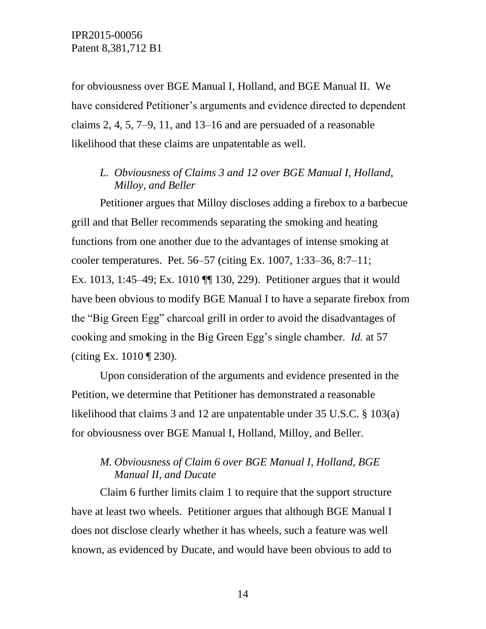for obviousness over BGE Manual I, Holland, and BGE Manual II. We have considered Petitioner's arguments and evidence directed to dependent claims 2, 4, 5, 7–9, 11, and 13–16 and are persuaded of a reasonable likelihood that these claims are unpatentable as well.

## <span id="page-13-0"></span>*L. Obviousness of Claims 3 and 12 over BGE Manual I, Holland, Milloy, and Beller*

Petitioner argues that Milloy discloses adding a firebox to a barbecue grill and that Beller recommends separating the smoking and heating functions from one another due to the advantages of intense smoking at cooler temperatures. Pet. 56–57 (citing Ex. 1007, 1:33–36, 8:7–11; Ex. 1013, 1:45–49; Ex. 1010 ¶¶ 130, 229). Petitioner argues that it would have been obvious to modify BGE Manual I to have a separate firebox from the "Big Green Egg" charcoal grill in order to avoid the disadvantages of cooking and smoking in the Big Green Egg's single chamber. *Id.* at 57 (citing Ex. 1010 ¶ 230).

Upon consideration of the arguments and evidence presented in the Petition, we determine that Petitioner has demonstrated a reasonable likelihood that claims 3 and 12 are unpatentable under 35 U.S.C. § 103(a) for obviousness over BGE Manual I, Holland, Milloy, and Beller.

# <span id="page-13-1"></span>*M. Obviousness of Claim 6 over BGE Manual I, Holland, BGE Manual II, and Ducate*

Claim 6 further limits claim 1 to require that the support structure have at least two wheels. Petitioner argues that although BGE Manual I does not disclose clearly whether it has wheels, such a feature was well known, as evidenced by Ducate, and would have been obvious to add to

14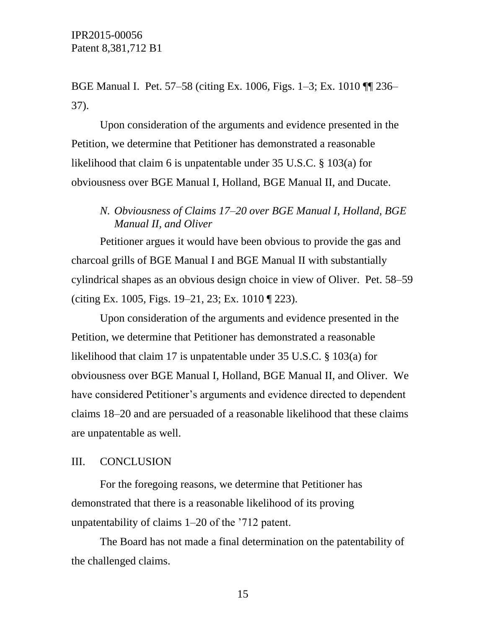BGE Manual I. Pet. 57–58 (citing Ex. 1006, Figs. 1–3; Ex. 1010 ¶¶ 236– 37).

Upon consideration of the arguments and evidence presented in the Petition, we determine that Petitioner has demonstrated a reasonable likelihood that claim 6 is unpatentable under 35 U.S.C. § 103(a) for obviousness over BGE Manual I, Holland, BGE Manual II, and Ducate.

## <span id="page-14-0"></span>*N. Obviousness of Claims 17–20 over BGE Manual I, Holland, BGE Manual II, and Oliver*

Petitioner argues it would have been obvious to provide the gas and charcoal grills of BGE Manual I and BGE Manual II with substantially cylindrical shapes as an obvious design choice in view of Oliver. Pet. 58–59 (citing Ex. 1005, Figs. 19–21, 23; Ex. 1010 ¶ 223).

Upon consideration of the arguments and evidence presented in the Petition, we determine that Petitioner has demonstrated a reasonable likelihood that claim 17 is unpatentable under 35 U.S.C. § 103(a) for obviousness over BGE Manual I, Holland, BGE Manual II, and Oliver. We have considered Petitioner's arguments and evidence directed to dependent claims 18–20 and are persuaded of a reasonable likelihood that these claims are unpatentable as well.

#### III. CONCLUSION

For the foregoing reasons, we determine that Petitioner has demonstrated that there is a reasonable likelihood of its proving unpatentability of claims 1–20 of the '712 patent.

The Board has not made a final determination on the patentability of the challenged claims.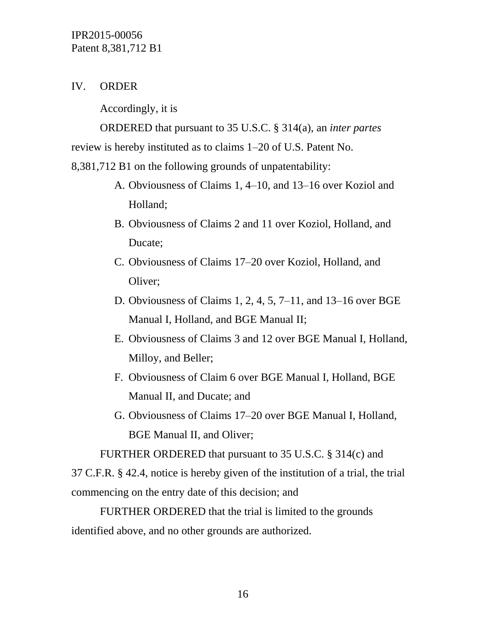## IV. ORDER

Accordingly, it is

ORDERED that pursuant to 35 U.S.C. § 314(a), an *inter partes* review is hereby instituted as to claims 1–20 of U.S. Patent No.

8,381,712 B1 on the following grounds of unpatentability:

- A. [Obviousness of Claims 1, 4–10, and 13–16 over Koziol and](#page-8-0)  [Holland;](#page-8-0)
- B. [Obviousness of Claims 2 and 11 over Koziol, Holland, and](#page-9-0)  [Ducate;](#page-9-0)
- C. [Obviousness of Claims 17–20 over Koziol, Holland, and](#page-11-0)  [Oliver;](#page-11-0)
- D. [Obviousness of Claims 1, 2, 4, 5, 7–11, and 13–16 over BGE](#page-12-0)  [Manual I, Holland, and BGE Manual II;](#page-12-0)
- E. [Obviousness of Claims 3 and 12 over BGE Manual I, Holland,](#page-13-0)  [Milloy, and Beller;](#page-13-0)
- F. [Obviousness of Claim 6 over BGE Manual I, Holland, BGE](#page-13-1)  [Manual II, and Ducate;](#page-13-1) and
- G. [Obviousness of Claims 17–20 over BGE Manual I, Holland,](#page-14-0)  [BGE Manual II, and Oliver;](#page-14-0)

FURTHER ORDERED that pursuant to 35 U.S.C. § 314(c) and

37 C.F.R. § 42.4, notice is hereby given of the institution of a trial, the trial commencing on the entry date of this decision; and

FURTHER ORDERED that the trial is limited to the grounds identified above, and no other grounds are authorized.